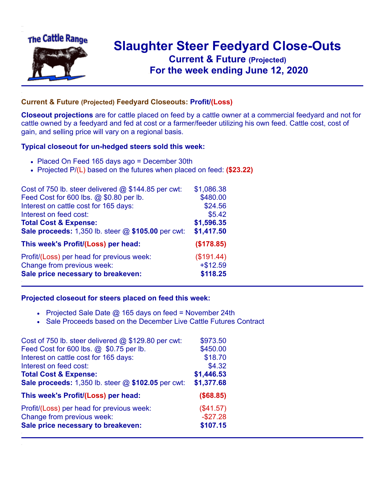

## **Slaughter Steer Feedyard Close-Outs Current & Future (Projected)** .**For the week ending June 12, 2020**

## **Current & Future (Projected) Feedyard Closeouts: Profit/(Loss)**

**Closeout projections** are for cattle placed on feed by a cattle owner at a commercial feedyard and not for cattle owned by a feedyard and fed at cost or a farmer/feeder utilizing his own feed. Cattle cost, cost of gain, and selling price will vary on a regional basis.

## **Typical closeout for un-hedged steers sold this week:**

- Placed On Feed 165 days ago = December 30th
- Projected P/(L) based on the futures when placed on feed: **(\$23.22)**

| Cost of 750 lb. steer delivered $@$ \$144.85 per cwt: | \$1,086.38 |
|-------------------------------------------------------|------------|
| Feed Cost for 600 lbs. @ \$0.80 per lb.               | \$480.00   |
| Interest on cattle cost for 165 days:                 | \$24.56    |
| Interest on feed cost:                                | \$5.42     |
| <b>Total Cost &amp; Expense:</b>                      | \$1,596.35 |
| Sale proceeds: 1,350 lb. steer @ \$105.00 per cwt:    | \$1,417.50 |
| This week's Profit/(Loss) per head:                   | (\$178.85) |
| Profit/(Loss) per head for previous week:             | (\$191.44) |
| Change from previous week:                            | $+ $12.59$ |
| Sale price necessary to breakeven:                    | \$118.25   |

## **Projected closeout for steers placed on feed this week:**

- Projected Sale Date  $@$  165 days on feed = November 24th
- Sale Proceeds based on the December Live Cattle Futures Contract

| Cost of 750 lb. steer delivered @ \$129.80 per cwt: | \$973.50   |
|-----------------------------------------------------|------------|
| Feed Cost for 600 lbs. @ \$0.75 per lb.             | \$450.00   |
| Interest on cattle cost for 165 days:               | \$18.70    |
| Interest on feed cost:                              | \$4.32     |
| <b>Total Cost &amp; Expense:</b>                    | \$1,446.53 |
| Sale proceeds: 1,350 lb. steer @ \$102.05 per cwt:  | \$1,377.68 |
| This week's Profit/(Loss) per head:                 | (\$68.85)  |
| Profit/(Loss) per head for previous week:           | (\$41.57)  |
| Change from previous week:                          | $-$27.28$  |
| Sale price necessary to breakeven:                  | \$107.15   |
|                                                     |            |